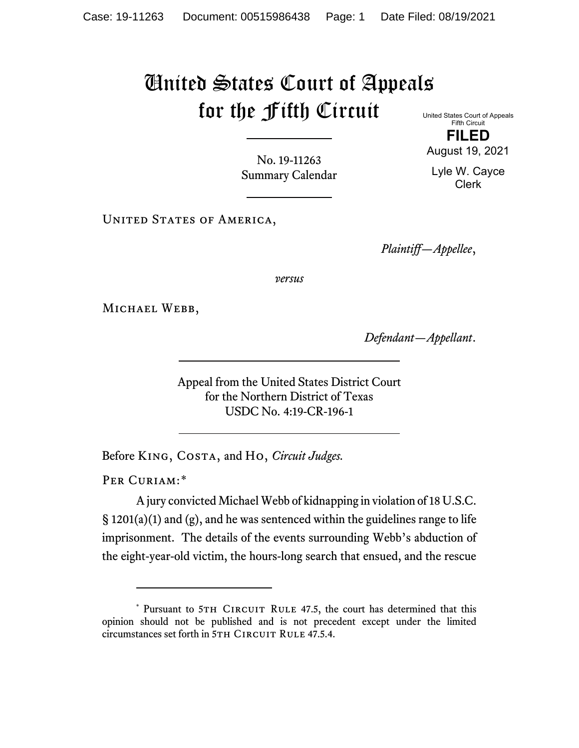# United States Court of Appeals for the Fifth Circuit United States Court of Appeals

Fifth Circuit **FILED**

August 19, 2021

Lyle W. Cayce Clerk

No. 19-11263 Summary Calendar

UNITED STATES OF AMERICA,

*Plaintiff—Appellee*,

*versus*

MICHAEL WEBB,

*Defendant—Appellant*.

Appeal from the United States District Court for the Northern District of Texas USDC No. 4:19-CR-196-1

Before King, Costa, and Ho, *Circuit Judges.*

PER CURIAM:[\\*](#page-0-0)

A jury convicted Michael Webb of kidnapping in violation of 18 U.S.C.  $\S$  1201(a)(1) and (g), and he was sentenced within the guidelines range to life imprisonment. The details of the events surrounding Webb's abduction of the eight-year-old victim, the hours-long search that ensued, and the rescue

<span id="page-0-0"></span><sup>\*</sup> Pursuant to 5TH CIRCUIT RULE 47.5, the court has determined that this opinion should not be published and is not precedent except under the limited circumstances set forth in 5TH CIRCUIT RULE 47.5.4.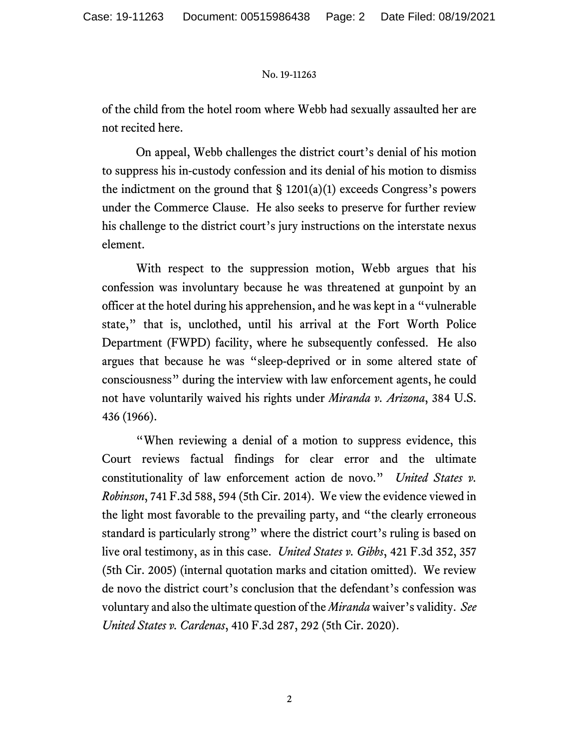of the child from the hotel room where Webb had sexually assaulted her are not recited here.

On appeal, Webb challenges the district court's denial of his motion to suppress his in-custody confession and its denial of his motion to dismiss the indictment on the ground that  $\S 1201(a)(1)$  exceeds Congress's powers under the Commerce Clause. He also seeks to preserve for further review his challenge to the district court's jury instructions on the interstate nexus element.

With respect to the suppression motion, Webb argues that his confession was involuntary because he was threatened at gunpoint by an officer at the hotel during his apprehension, and he was kept in a "vulnerable state," that is, unclothed, until his arrival at the Fort Worth Police Department (FWPD) facility, where he subsequently confessed. He also argues that because he was "sleep-deprived or in some altered state of consciousness" during the interview with law enforcement agents, he could not have voluntarily waived his rights under *Miranda v. Arizona*, 384 U.S. 436 (1966).

"When reviewing a denial of a motion to suppress evidence, this Court reviews factual findings for clear error and the ultimate constitutionality of law enforcement action de novo." *United States v. Robinson*, 741 F.3d 588, 594 (5th Cir. 2014). We view the evidence viewed in the light most favorable to the prevailing party, and "the clearly erroneous standard is particularly strong" where the district court's ruling is based on live oral testimony, as in this case. *United States v. Gibbs*, 421 F.3d 352, 357 (5th Cir. 2005) (internal quotation marks and citation omitted). We review de novo the district court's conclusion that the defendant's confession was voluntary and also the ultimate question of the *Miranda* waiver's validity. *See United States v. Cardenas*, 410 F.3d 287, 292 (5th Cir. 2020).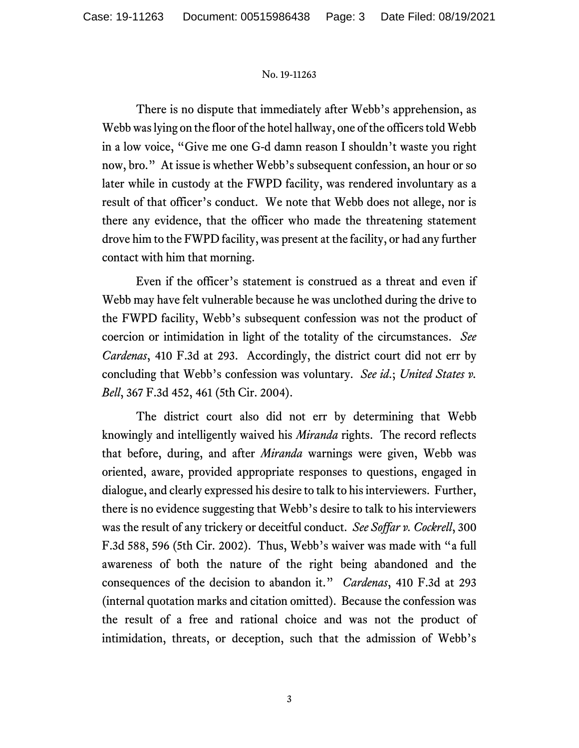There is no dispute that immediately after Webb's apprehension, as Webb waslying on the floor of the hotel hallway, one of the officers told Webb in a low voice, "Give me one G-d damn reason I shouldn't waste you right now, bro." At issue is whether Webb's subsequent confession, an hour or so later while in custody at the FWPD facility, was rendered involuntary as a result of that officer's conduct. We note that Webb does not allege, nor is there any evidence, that the officer who made the threatening statement drove him to the FWPD facility, was present at the facility, or had any further contact with him that morning.

Even if the officer's statement is construed as a threat and even if Webb may have felt vulnerable because he was unclothed during the drive to the FWPD facility, Webb's subsequent confession was not the product of coercion or intimidation in light of the totality of the circumstances. *See Cardenas*, 410 F.3d at 293. Accordingly, the district court did not err by concluding that Webb's confession was voluntary. *See id*.; *United States v. Bell*, 367 F.3d 452, 461 (5th Cir. 2004).

The district court also did not err by determining that Webb knowingly and intelligently waived his *Miranda* rights. The record reflects that before, during, and after *Miranda* warnings were given, Webb was oriented, aware, provided appropriate responses to questions, engaged in dialogue, and clearly expressed his desire to talk to his interviewers. Further, there is no evidence suggesting that Webb's desire to talk to his interviewers was the result of any trickery or deceitful conduct. *See Soffar v. Cockrell*, 300 F.3d 588, 596 (5th Cir. 2002). Thus, Webb's waiver was made with "a full awareness of both the nature of the right being abandoned and the consequences of the decision to abandon it." *Cardenas*, 410 F.3d at 293 (internal quotation marks and citation omitted). Because the confession was the result of a free and rational choice and was not the product of intimidation, threats, or deception, such that the admission of Webb's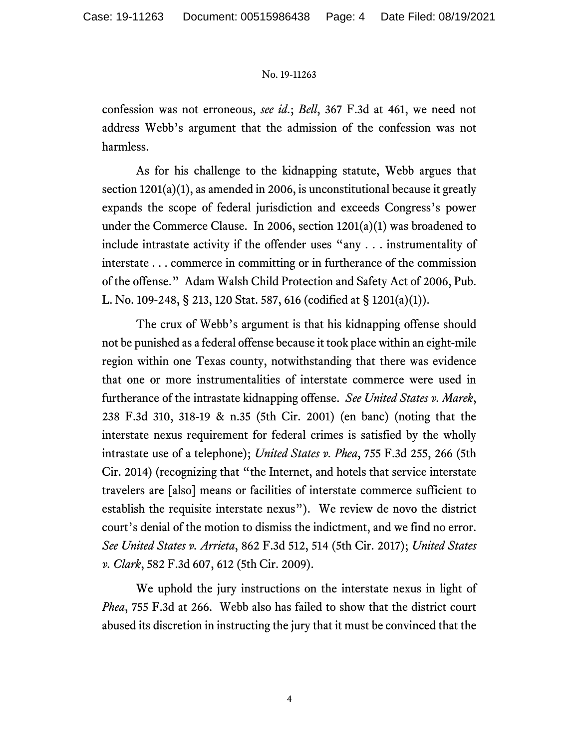confession was not erroneous, *see id*.; *Bell*, 367 F.3d at 461, we need not address Webb's argument that the admission of the confession was not harmless.

As for his challenge to the kidnapping statute, Webb argues that section 1201(a)(1), as amended in 2006, is unconstitutional because it greatly expands the scope of federal jurisdiction and exceeds Congress's power under the Commerce Clause. In 2006, section 1201(a)(1) was broadened to include intrastate activity if the offender uses "any . . . instrumentality of interstate . . . commerce in committing or in furtherance of the commission of the offense." Adam Walsh Child Protection and Safety Act of 2006, Pub. L. No. 109-248, § 213, 120 Stat. 587, 616 (codified at § 1201(a)(1)).

The crux of Webb's argument is that his kidnapping offense should not be punished as a federal offense because it took place within an eight-mile region within one Texas county, notwithstanding that there was evidence that one or more instrumentalities of interstate commerce were used in furtherance of the intrastate kidnapping offense. *See United States v. Marek*, 238 F.3d 310, 318-19 & n.35 (5th Cir. 2001) (en banc) (noting that the interstate nexus requirement for federal crimes is satisfied by the wholly intrastate use of a telephone); *United States v. Phea*, 755 F.3d 255, 266 (5th Cir. 2014) (recognizing that "the Internet, and hotels that service interstate travelers are [also] means or facilities of interstate commerce sufficient to establish the requisite interstate nexus"). We review de novo the district court's denial of the motion to dismiss the indictment, and we find no error. *See United States v. Arrieta*, 862 F.3d 512, 514 (5th Cir. 2017); *United States v. Clark*, 582 F.3d 607, 612 (5th Cir. 2009).

We uphold the jury instructions on the interstate nexus in light of *Phea*, 755 F.3d at 266. Webb also has failed to show that the district court abused its discretion in instructing the jury that it must be convinced that the